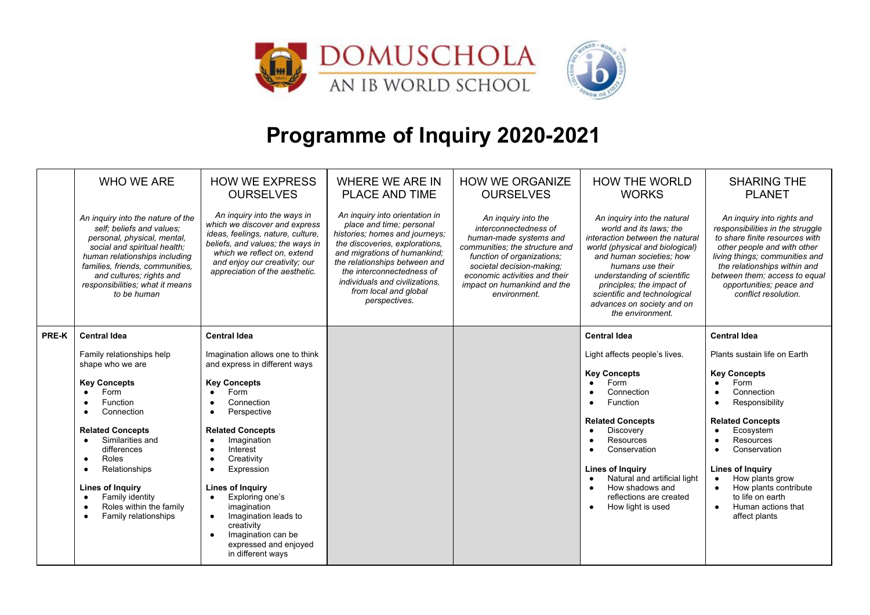

## **Programme of Inquiry 2020-2021**

|              | <b>WHO WE ARE</b>                                                                                                                                                                                                                                                                                                                             | <b>HOW WE EXPRESS</b><br><b>OURSELVES</b>                                                                                                                                                                                                                                                                                                                                                                                                                                                          | <b>WHERE WE ARE IN</b><br><b>PLACE AND TIME</b>                                                                                                                                                                                                                                                          | <b>HOW WE ORGANIZE</b><br><b>OURSELVES</b>                                                                                                                                                                                                          | <b>HOW THE WORLD</b><br><b>WORKS</b>                                                                                                                                                                                                                                                                                       | <b>SHARING THE</b><br><b>PLANET</b>                                                                                                                                                                                                                                                                                          |
|--------------|-----------------------------------------------------------------------------------------------------------------------------------------------------------------------------------------------------------------------------------------------------------------------------------------------------------------------------------------------|----------------------------------------------------------------------------------------------------------------------------------------------------------------------------------------------------------------------------------------------------------------------------------------------------------------------------------------------------------------------------------------------------------------------------------------------------------------------------------------------------|----------------------------------------------------------------------------------------------------------------------------------------------------------------------------------------------------------------------------------------------------------------------------------------------------------|-----------------------------------------------------------------------------------------------------------------------------------------------------------------------------------------------------------------------------------------------------|----------------------------------------------------------------------------------------------------------------------------------------------------------------------------------------------------------------------------------------------------------------------------------------------------------------------------|------------------------------------------------------------------------------------------------------------------------------------------------------------------------------------------------------------------------------------------------------------------------------------------------------------------------------|
|              | An inquiry into the nature of the<br>self; beliefs and values;<br>personal, physical, mental,<br>social and spiritual health;<br>human relationships including<br>families, friends, communities,<br>and cultures; rights and<br>responsibilities; what it means<br>to be human                                                               | An inquiry into the ways in<br>which we discover and express<br>ideas, feelings, nature, culture,<br>beliefs, and values; the ways in<br>which we reflect on, extend<br>and enjoy our creativity; our<br>appreciation of the aesthetic.                                                                                                                                                                                                                                                            | An inquiry into orientation in<br>place and time; personal<br>histories; homes and journeys;<br>the discoveries, explorations,<br>and migrations of humankind;<br>the relationships between and<br>the interconnectedness of<br>individuals and civilizations,<br>from local and global<br>perspectives. | An inquiry into the<br>interconnectedness of<br>human-made systems and<br>communities; the structure and<br>function of organizations;<br>societal decision-making;<br>economic activities and their<br>impact on humankind and the<br>environment. | An inquiry into the natural<br>world and its laws; the<br>interaction between the natural<br>world (physical and biological)<br>and human societies; how<br>humans use their<br>understanding of scientific<br>principles; the impact of<br>scientific and technological<br>advances on society and on<br>the environment. | An inquiry into rights and<br>responsibilities in the struggle<br>to share finite resources with<br>other people and with other<br>living things; communities and<br>the relationships within and<br>between them; access to equal<br>opportunities; peace and<br>conflict resolution.                                       |
| <b>PRE-K</b> | <b>Central Idea</b>                                                                                                                                                                                                                                                                                                                           | <b>Central Idea</b>                                                                                                                                                                                                                                                                                                                                                                                                                                                                                |                                                                                                                                                                                                                                                                                                          |                                                                                                                                                                                                                                                     | <b>Central Idea</b>                                                                                                                                                                                                                                                                                                        | <b>Central Idea</b>                                                                                                                                                                                                                                                                                                          |
|              | Family relationships help<br>shape who we are<br><b>Key Concepts</b><br>Form<br><b>Function</b><br>Connection<br><b>Related Concepts</b><br>Similarities and<br>differences<br>Roles<br>$\bullet$<br>Relationships<br><b>Lines of Inquiry</b><br>Family identity<br>$\bullet$<br>Roles within the family<br>$\bullet$<br>Family relationships | Imagination allows one to think<br>and express in different ways<br><b>Key Concepts</b><br>Form<br>Connection<br>٠<br>Perspective<br>$\bullet$<br><b>Related Concepts</b><br>Imagination<br>$\bullet$<br>Interest<br>$\bullet$<br>Creativity<br>$\bullet$<br>Expression<br>$\bullet$<br><b>Lines of Inquiry</b><br>Exploring one's<br>$\bullet$<br>imagination<br>Imagination leads to<br>$\bullet$<br>creativity<br>Imagination can be<br>$\bullet$<br>expressed and enjoyed<br>in different ways |                                                                                                                                                                                                                                                                                                          |                                                                                                                                                                                                                                                     | Light affects people's lives.<br><b>Key Concepts</b><br>Form<br>Connection<br>Function<br><b>Related Concepts</b><br>Discovery<br>Resources<br>Conservation<br><b>Lines of Inquiry</b><br>Natural and artificial light<br>How shadows and<br>reflections are created<br>How light is used                                  | Plants sustain life on Earth<br><b>Key Concepts</b><br>Form<br>$\bullet$<br>Connection<br>Responsibility<br><b>Related Concepts</b><br>Ecosystem<br>Resources<br>Conservation<br><b>Lines of Inquiry</b><br>How plants grow<br>How plants contribute<br>to life on earth<br>Human actions that<br>$\bullet$<br>affect plants |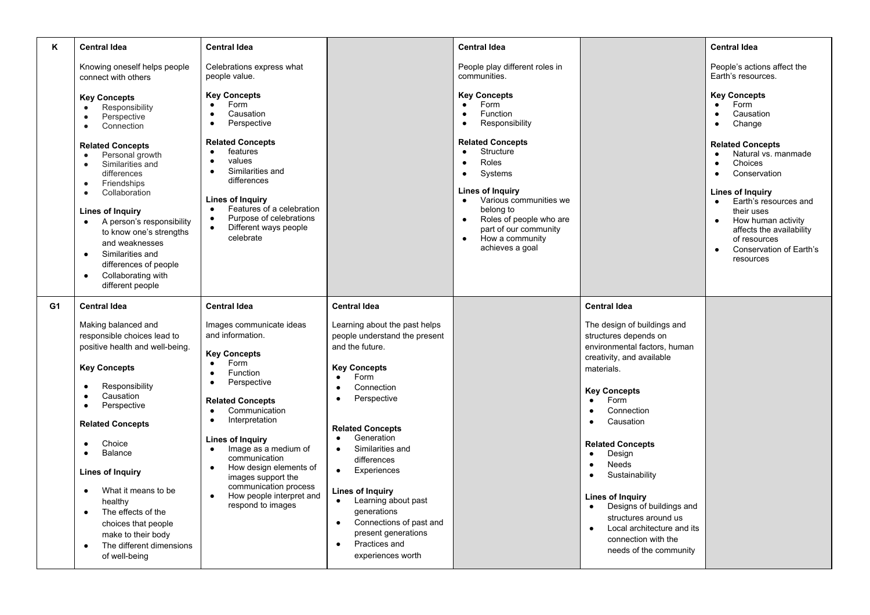| K  | <b>Central Idea</b>                                                                                                                                                                                                                                                                                                                                                                                                                                                                             | <b>Central Idea</b>                                                                                                                                                                                                                                                                                                                                                                                                                                                        |                                                                                                                                                                                                                                                                                                                                                                                                                                                                                                                 | <b>Central Idea</b>                                                                                                                                                                                                                                                                                                                                                                |                                                                                                                                                                                                                                                                                                                                                                                                                                                                                                | <b>Central Idea</b>                                                                                                                                                                                                                                                                                                                                      |
|----|-------------------------------------------------------------------------------------------------------------------------------------------------------------------------------------------------------------------------------------------------------------------------------------------------------------------------------------------------------------------------------------------------------------------------------------------------------------------------------------------------|----------------------------------------------------------------------------------------------------------------------------------------------------------------------------------------------------------------------------------------------------------------------------------------------------------------------------------------------------------------------------------------------------------------------------------------------------------------------------|-----------------------------------------------------------------------------------------------------------------------------------------------------------------------------------------------------------------------------------------------------------------------------------------------------------------------------------------------------------------------------------------------------------------------------------------------------------------------------------------------------------------|------------------------------------------------------------------------------------------------------------------------------------------------------------------------------------------------------------------------------------------------------------------------------------------------------------------------------------------------------------------------------------|------------------------------------------------------------------------------------------------------------------------------------------------------------------------------------------------------------------------------------------------------------------------------------------------------------------------------------------------------------------------------------------------------------------------------------------------------------------------------------------------|----------------------------------------------------------------------------------------------------------------------------------------------------------------------------------------------------------------------------------------------------------------------------------------------------------------------------------------------------------|
|    | Knowing oneself helps people<br>connect with others                                                                                                                                                                                                                                                                                                                                                                                                                                             | Celebrations express what<br>people value.                                                                                                                                                                                                                                                                                                                                                                                                                                 |                                                                                                                                                                                                                                                                                                                                                                                                                                                                                                                 | People play different roles in<br>communities.                                                                                                                                                                                                                                                                                                                                     |                                                                                                                                                                                                                                                                                                                                                                                                                                                                                                | People's actions affect the<br>Earth's resources.                                                                                                                                                                                                                                                                                                        |
|    | <b>Key Concepts</b><br>Responsibility<br>$\bullet$<br>Perspective<br>$\bullet$<br>Connection<br>$\bullet$<br><b>Related Concepts</b><br>Personal growth<br>$\bullet$<br>Similarities and<br>$\bullet$<br>differences<br>Friendships<br>$\bullet$<br>Collaboration<br>$\bullet$<br>Lines of Inquiry<br>• A person's responsibility<br>to know one's strengths<br>and weaknesses<br>Similarities and<br>$\bullet$<br>differences of people<br>Collaborating with<br>$\bullet$<br>different people | <b>Key Concepts</b><br>Form<br>$\bullet$<br>Causation<br>$\bullet$<br>Perspective<br>$\bullet$<br><b>Related Concepts</b><br>features<br>$\bullet$<br>values<br>$\bullet$<br>Similarities and<br>$\bullet$<br>differences<br>Lines of Inquiry<br>Features of a celebration<br>$\bullet$<br>Purpose of celebrations<br>$\bullet$<br>Different ways people<br>$\bullet$<br>celebrate                                                                                         |                                                                                                                                                                                                                                                                                                                                                                                                                                                                                                                 | <b>Key Concepts</b><br>Form<br>$\bullet$<br>Function<br>$\bullet$<br>Responsibility<br>$\bullet$<br><b>Related Concepts</b><br>Structure<br>$\bullet$<br>Roles<br>$\bullet$<br>Systems<br>$\bullet$<br>Lines of Inquiry<br>Various communities we<br>belong to<br>Roles of people who are<br>$\bullet$<br>part of our community<br>How a community<br>$\bullet$<br>achieves a goal |                                                                                                                                                                                                                                                                                                                                                                                                                                                                                                | <b>Key Concepts</b><br>Form<br>$\bullet$<br>Causation<br>Change<br>$\bullet$<br><b>Related Concepts</b><br>Natural vs. manmade<br>Choices<br>Conservation<br>$\bullet$<br>Lines of Inquiry<br>Earth's resources and<br>$\bullet$<br>their uses<br>How human activity<br>affects the availability<br>of resources<br>Conservation of Earth's<br>resources |
| G1 | <b>Central Idea</b>                                                                                                                                                                                                                                                                                                                                                                                                                                                                             | <b>Central Idea</b>                                                                                                                                                                                                                                                                                                                                                                                                                                                        | <b>Central Idea</b>                                                                                                                                                                                                                                                                                                                                                                                                                                                                                             |                                                                                                                                                                                                                                                                                                                                                                                    | <b>Central Idea</b>                                                                                                                                                                                                                                                                                                                                                                                                                                                                            |                                                                                                                                                                                                                                                                                                                                                          |
|    | Making balanced and<br>responsible choices lead to<br>positive health and well-being.<br><b>Key Concepts</b><br>Responsibility<br>Causation<br>$\bullet$<br>Perspective<br>$\bullet$<br><b>Related Concepts</b><br>Choice<br>$\bullet$<br>Balance<br>$\bullet$<br>Lines of Inquiry<br>What it means to be<br>$\bullet$<br>healthy<br>The effects of the<br>$\bullet$<br>choices that people<br>make to their body<br>The different dimensions<br>$\bullet$<br>of well-being                     | Images communicate ideas<br>and information.<br><b>Key Concepts</b><br>Form<br>$\bullet$<br>Function<br>$\bullet$<br>Perspective<br>$\bullet$<br><b>Related Concepts</b><br>Communication<br>$\bullet$<br>Interpretation<br>$\bullet$<br><b>Lines of Inquiry</b><br>Image as a medium of<br>$\bullet$<br>communication<br>How design elements of<br>$\bullet$<br>images support the<br>communication process<br>How people interpret and<br>$\bullet$<br>respond to images | Learning about the past helps<br>people understand the present<br>and the future.<br><b>Key Concepts</b><br>Form<br>$\bullet$<br>Connection<br>$\bullet$<br>Perspective<br>$\bullet$<br><b>Related Concepts</b><br>Generation<br>$\bullet$<br>Similarities and<br>$\bullet$<br>differences<br>Experiences<br>$\bullet$<br>Lines of Inquiry<br>Learning about past<br>$\bullet$<br>generations<br>Connections of past and<br>$\bullet$<br>present generations<br>Practices and<br>$\bullet$<br>experiences worth |                                                                                                                                                                                                                                                                                                                                                                                    | The design of buildings and<br>structures depends on<br>environmental factors, human<br>creativity, and available<br>materials.<br><b>Key Concepts</b><br>Form<br>$\bullet$<br>Connection<br>Causation<br><b>Related Concepts</b><br>Design<br>$\bullet$<br>Needs<br>$\bullet$<br>Sustainability<br>$\bullet$<br>Lines of Inquiry<br>Designs of buildings and<br>$\bullet$<br>structures around us<br>Local architecture and its<br>$\bullet$<br>connection with the<br>needs of the community |                                                                                                                                                                                                                                                                                                                                                          |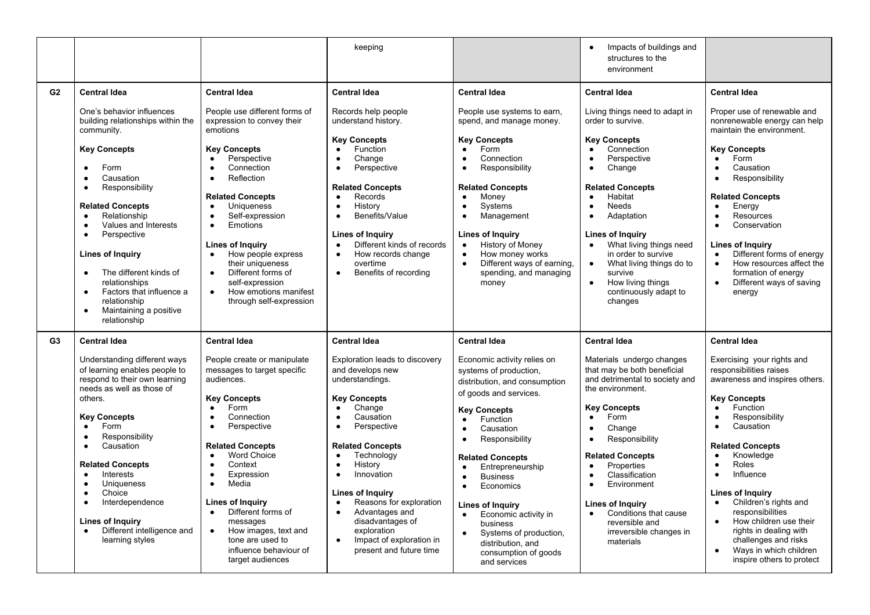|                |                                                                                                                                                                                                                                                                                                                                                                                                                                                                                           |                                                                                                                                                                                                                                                                                                                                                                                                                                                                                                          | keeping                                                                                                                                                                                                                                                                                                                                                                                                                                                                                     |                                                                                                                                                                                                                                                                                                                                                                                                                                                                      | Impacts of buildings and<br>$\bullet$<br>structures to the<br>environment                                                                                                                                                                                                                                                                                                                                                                                    |                                                                                                                                                                                                                                                                                                                                                                                                                                                                                                           |
|----------------|-------------------------------------------------------------------------------------------------------------------------------------------------------------------------------------------------------------------------------------------------------------------------------------------------------------------------------------------------------------------------------------------------------------------------------------------------------------------------------------------|----------------------------------------------------------------------------------------------------------------------------------------------------------------------------------------------------------------------------------------------------------------------------------------------------------------------------------------------------------------------------------------------------------------------------------------------------------------------------------------------------------|---------------------------------------------------------------------------------------------------------------------------------------------------------------------------------------------------------------------------------------------------------------------------------------------------------------------------------------------------------------------------------------------------------------------------------------------------------------------------------------------|----------------------------------------------------------------------------------------------------------------------------------------------------------------------------------------------------------------------------------------------------------------------------------------------------------------------------------------------------------------------------------------------------------------------------------------------------------------------|--------------------------------------------------------------------------------------------------------------------------------------------------------------------------------------------------------------------------------------------------------------------------------------------------------------------------------------------------------------------------------------------------------------------------------------------------------------|-----------------------------------------------------------------------------------------------------------------------------------------------------------------------------------------------------------------------------------------------------------------------------------------------------------------------------------------------------------------------------------------------------------------------------------------------------------------------------------------------------------|
| G2             | <b>Central Idea</b>                                                                                                                                                                                                                                                                                                                                                                                                                                                                       | <b>Central Idea</b>                                                                                                                                                                                                                                                                                                                                                                                                                                                                                      | <b>Central Idea</b>                                                                                                                                                                                                                                                                                                                                                                                                                                                                         | <b>Central Idea</b>                                                                                                                                                                                                                                                                                                                                                                                                                                                  | <b>Central Idea</b>                                                                                                                                                                                                                                                                                                                                                                                                                                          | <b>Central Idea</b>                                                                                                                                                                                                                                                                                                                                                                                                                                                                                       |
|                | One's behavior influences<br>building relationships within the<br>community.<br><b>Key Concepts</b><br>Form<br>Causation<br>$\bullet$<br>Responsibility<br>$\bullet$<br><b>Related Concepts</b><br>Relationship<br>$\bullet$<br>Values and Interests<br>$\bullet$<br>$\bullet$<br>Perspective<br>Lines of Inquiry<br>The different kinds of<br>$\bullet$<br>relationships<br>Factors that influence a<br>$\bullet$<br>relationship<br>Maintaining a positive<br>$\bullet$<br>relationship | People use different forms of<br>expression to convey their<br>emotions<br><b>Key Concepts</b><br>Perspective<br>$\bullet$<br>Connection<br>$\bullet$<br>Reflection<br>$\bullet$<br><b>Related Concepts</b><br><b>Uniqueness</b><br>$\bullet$<br>Self-expression<br>$\bullet$<br>$\bullet$<br>Emotions<br>Lines of Inquiry<br>How people express<br>$\bullet$<br>their uniqueness<br>Different forms of<br>$\bullet$<br>self-expression<br>How emotions manifest<br>$\bullet$<br>through self-expression | Records help people<br>understand history.<br><b>Key Concepts</b><br>Function<br>$\bullet$<br>Change<br>$\bullet$<br>Perspective<br>$\bullet$<br><b>Related Concepts</b><br>Records<br>$\bullet$<br>History<br>$\bullet$<br>Benefits/Value<br>$\bullet$<br><b>Lines of Inquiry</b><br>Different kinds of records<br>$\bullet$<br>How records change<br>$\bullet$<br>overtime<br>Benefits of recording<br>$\bullet$                                                                          | People use systems to earn,<br>spend, and manage money.<br><b>Key Concepts</b><br>Form<br>Connection<br>Responsibility<br><b>Related Concepts</b><br>Money<br>$\bullet$<br>Systems<br>Management<br><b>Lines of Inquiry</b><br>History of Money<br>$\bullet$<br>How money works<br>$\bullet$<br>Different ways of earning.<br>$\bullet$<br>spending, and managing<br>money                                                                                           | Living things need to adapt in<br>order to survive.<br><b>Key Concepts</b><br>Connection<br>$\bullet$<br>Perspective<br>Change<br>$\bullet$<br><b>Related Concepts</b><br>Habitat<br>$\bullet$<br>Needs<br>$\bullet$<br>Adaptation<br>$\bullet$<br>Lines of Inquiry<br>What living things need<br>$\bullet$<br>in order to survive<br>What living things do to<br>$\bullet$<br>survive<br>$\bullet$<br>How living things<br>continuously adapt to<br>changes | Proper use of renewable and<br>nonrenewable energy can help<br>maintain the environment.<br><b>Key Concepts</b><br>Form<br>$\bullet$<br>Causation<br>$\bullet$<br>Responsibility<br><b>Related Concepts</b><br>Energy<br>$\bullet$<br>Resources<br>Conservation<br>$\bullet$<br>Lines of Inquiry<br>Different forms of energy<br>$\bullet$<br>How resources affect the<br>$\bullet$<br>formation of energy<br>Different ways of saving<br>$\bullet$<br>energy                                             |
| G <sub>3</sub> | <b>Central Idea</b>                                                                                                                                                                                                                                                                                                                                                                                                                                                                       | <b>Central Idea</b>                                                                                                                                                                                                                                                                                                                                                                                                                                                                                      | <b>Central Idea</b>                                                                                                                                                                                                                                                                                                                                                                                                                                                                         | <b>Central Idea</b>                                                                                                                                                                                                                                                                                                                                                                                                                                                  | <b>Central Idea</b>                                                                                                                                                                                                                                                                                                                                                                                                                                          | <b>Central Idea</b>                                                                                                                                                                                                                                                                                                                                                                                                                                                                                       |
|                | Understanding different ways<br>of learning enables people to<br>respond to their own learning<br>needs as well as those of<br>others.<br><b>Key Concepts</b><br>Form<br>$\bullet$<br>Responsibility<br>$\bullet$<br>Causation<br>$\bullet$<br><b>Related Concepts</b><br>Interests<br>$\bullet$<br><b>Uniqueness</b><br>$\bullet$<br>Choice<br>$\bullet$<br>Interdependence<br>$\bullet$<br><b>Lines of Inquiry</b><br>Different intelligence and<br>$\bullet$<br>learning styles        | People create or manipulate<br>messages to target specific<br>audiences.<br><b>Key Concepts</b><br>Form<br>$\bullet$<br>Connection<br>$\bullet$<br>Perspective<br>$\bullet$<br><b>Related Concepts</b><br><b>Word Choice</b><br>$\bullet$<br>Context<br>$\bullet$<br>Expression<br>$\bullet$<br>Media<br>$\bullet$<br>Lines of Inquiry<br>Different forms of<br>$\bullet$<br>messages<br>How images, text and<br>$\bullet$<br>tone are used to<br>influence behaviour of<br>target audiences             | Exploration leads to discovery<br>and develops new<br>understandings.<br><b>Key Concepts</b><br>Change<br>$\bullet$<br>Causation<br>$\bullet$<br>Perspective<br>$\bullet$<br><b>Related Concepts</b><br>Technology<br>$\bullet$<br>History<br>$\bullet$<br>Innovation<br>$\bullet$<br><b>Lines of Inquiry</b><br>Reasons for exploration<br>$\bullet$<br>Advantages and<br>$\bullet$<br>disadvantages of<br>exploration<br>Impact of exploration in<br>$\bullet$<br>present and future time | Economic activity relies on<br>systems of production,<br>distribution, and consumption<br>of goods and services.<br><b>Key Concepts</b><br>Function<br>$\bullet$<br>Causation<br>Responsibility<br><b>Related Concepts</b><br>Entrepreneurship<br><b>Business</b><br>$\bullet$<br>Economics<br>Lines of Inquiry<br>Economic activity in<br>$\bullet$<br>business<br>Systems of production,<br>$\bullet$<br>distribution, and<br>consumption of goods<br>and services | Materials undergo changes<br>that may be both beneficial<br>and detrimental to society and<br>the environment.<br><b>Key Concepts</b><br>Form<br>$\bullet$<br>Change<br>$\bullet$<br>Responsibility<br>$\bullet$<br><b>Related Concepts</b><br>Properties<br>$\bullet$<br>Classification<br>$\bullet$<br>Environment<br>$\bullet$<br>Lines of Inquiry<br>Conditions that cause<br>$\bullet$<br>reversible and<br>irreversible changes in<br>materials        | Exercising your rights and<br>responsibilities raises<br>awareness and inspires others.<br><b>Key Concepts</b><br>Function<br>$\bullet$<br>Responsibility<br>$\bullet$<br>Causation<br>$\bullet$<br><b>Related Concepts</b><br>Knowledge<br>$\bullet$<br>Roles<br>Influence<br>$\bullet$<br>Lines of Inguiry<br>Children's rights and<br>responsibilities<br>How children use their<br>$\bullet$<br>rights in dealing with<br>challenges and risks<br>Ways in which children<br>inspire others to protect |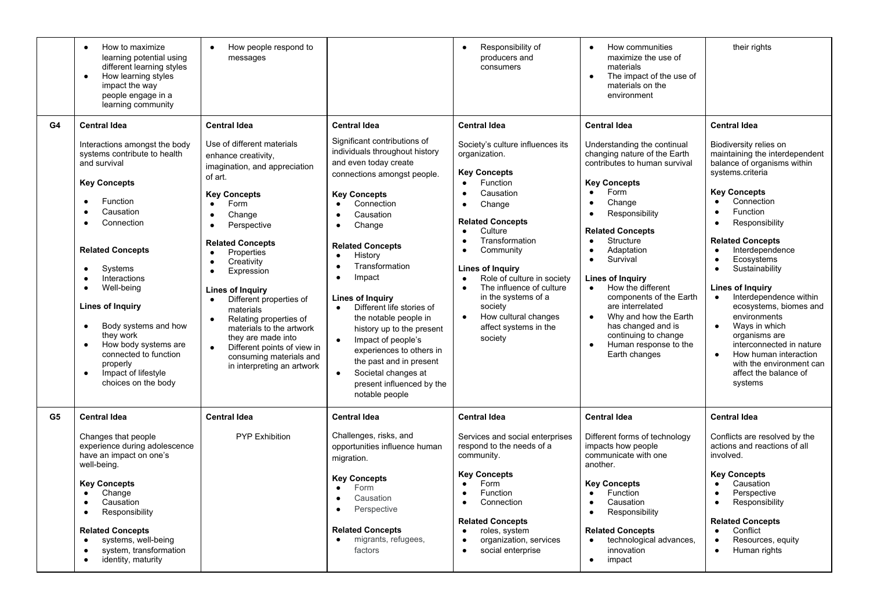|    | How to maximize<br>$\bullet$<br>learning potential using<br>different learning styles<br>How learning styles<br>$\bullet$<br>impact the way<br>people engage in a<br>learning community                                                                                                                                                                                                                                                                                                                                                | How people respond to<br>$\bullet$<br>messages                                                                                                                                                                                                                                                                                                                                                                                                                                                                                                                                            |                                                                                                                                                                                                                                                                                                                                                                                                                                                                                                                                                                                                        | Responsibility of<br>$\bullet$<br>producers and<br>consumers                                                                                                                                                                                                                                                                                                                                                                                                                                       | How communities<br>$\bullet$<br>maximize the use of<br>materials<br>The impact of the use of<br>$\bullet$<br>materials on the<br>environment                                                                                                                                                                                                                                                                                                                                                                                                                                   | their rights                                                                                                                                                                                                                                                                                                                                                                                                                                                                                                                                                                                                                                            |
|----|----------------------------------------------------------------------------------------------------------------------------------------------------------------------------------------------------------------------------------------------------------------------------------------------------------------------------------------------------------------------------------------------------------------------------------------------------------------------------------------------------------------------------------------|-------------------------------------------------------------------------------------------------------------------------------------------------------------------------------------------------------------------------------------------------------------------------------------------------------------------------------------------------------------------------------------------------------------------------------------------------------------------------------------------------------------------------------------------------------------------------------------------|--------------------------------------------------------------------------------------------------------------------------------------------------------------------------------------------------------------------------------------------------------------------------------------------------------------------------------------------------------------------------------------------------------------------------------------------------------------------------------------------------------------------------------------------------------------------------------------------------------|----------------------------------------------------------------------------------------------------------------------------------------------------------------------------------------------------------------------------------------------------------------------------------------------------------------------------------------------------------------------------------------------------------------------------------------------------------------------------------------------------|--------------------------------------------------------------------------------------------------------------------------------------------------------------------------------------------------------------------------------------------------------------------------------------------------------------------------------------------------------------------------------------------------------------------------------------------------------------------------------------------------------------------------------------------------------------------------------|---------------------------------------------------------------------------------------------------------------------------------------------------------------------------------------------------------------------------------------------------------------------------------------------------------------------------------------------------------------------------------------------------------------------------------------------------------------------------------------------------------------------------------------------------------------------------------------------------------------------------------------------------------|
| G4 | <b>Central Idea</b><br>Interactions amongst the body<br>systems contribute to health<br>and survival<br><b>Key Concepts</b><br>Function<br>$\bullet$<br>Causation<br>$\bullet$<br>Connection<br>$\bullet$<br><b>Related Concepts</b><br>Systems<br>$\bullet$<br>Interactions<br>$\bullet$<br>Well-being<br>$\bullet$<br><b>Lines of Inquiry</b><br>Body systems and how<br>$\bullet$<br>they work<br>How body systems are<br>$\bullet$<br>connected to function<br>properly<br>Impact of lifestyle<br>$\bullet$<br>choices on the body | <b>Central Idea</b><br>Use of different materials<br>enhance creativity,<br>imagination, and appreciation<br>of art.<br><b>Key Concepts</b><br>Form<br>$\bullet$<br>Change<br>$\bullet$<br>Perspective<br>$\bullet$<br><b>Related Concepts</b><br>Properties<br>$\bullet$<br>Creativity<br>$\bullet$<br>Expression<br>$\bullet$<br>Lines of Inquiry<br>Different properties of<br>materials<br>Relating properties of<br>$\bullet$<br>materials to the artwork<br>they are made into<br>Different points of view in<br>$\bullet$<br>consuming materials and<br>in interpreting an artwork | <b>Central Idea</b><br>Significant contributions of<br>individuals throughout history<br>and even today create<br>connections amongst people.<br><b>Key Concepts</b><br>Connection<br>$\bullet$<br>Causation<br>Change<br>$\bullet$<br><b>Related Concepts</b><br>History<br>$\bullet$<br>Transformation<br>Impact<br>Lines of Inquiry<br>Different life stories of<br>$\bullet$<br>the notable people in<br>history up to the present<br>Impact of people's<br>experiences to others in<br>the past and in present<br>Societal changes at<br>$\bullet$<br>present influenced by the<br>notable people | <b>Central Idea</b><br>Society's culture influences its<br>organization.<br><b>Key Concepts</b><br>Function<br>$\bullet$<br>Causation<br>$\bullet$<br>Change<br>$\bullet$<br><b>Related Concepts</b><br>Culture<br>$\bullet$<br>Transformation<br>$\bullet$<br>Community<br>$\bullet$<br><b>Lines of Inquiry</b><br>Role of culture in society<br>$\bullet$<br>The influence of culture<br>in the systems of a<br>society<br>How cultural changes<br>$\bullet$<br>affect systems in the<br>society | <b>Central Idea</b><br>Understanding the continual<br>changing nature of the Earth<br>contributes to human survival<br><b>Key Concepts</b><br>Form<br>$\bullet$<br>Change<br>$\bullet$<br>Responsibility<br>$\bullet$<br><b>Related Concepts</b><br>Structure<br>$\bullet$<br>Adaptation<br>$\bullet$<br>Survival<br>$\bullet$<br>Lines of Inquiry<br>How the different<br>$\bullet$<br>components of the Earth<br>are interrelated<br>Why and how the Earth<br>$\bullet$<br>has changed and is<br>continuing to change<br>Human response to the<br>$\bullet$<br>Earth changes | <b>Central Idea</b><br>Biodiversity relies on<br>maintaining the interdependent<br>balance of organisms within<br>systems.criteria<br><b>Key Concepts</b><br>Connection<br>$\bullet$<br>Function<br>$\bullet$<br>Responsibility<br>$\bullet$<br><b>Related Concepts</b><br>Interdependence<br>$\bullet$<br>Ecosystems<br>$\bullet$<br>Sustainability<br>$\bullet$<br>Lines of Inquiry<br>Interdependence within<br>$\bullet$<br>ecosystems, biomes and<br>environments<br>Ways in which<br>$\bullet$<br>organisms are<br>interconnected in nature<br>How human interaction<br>$\bullet$<br>with the environment can<br>affect the balance of<br>systems |
| G5 | <b>Central Idea</b><br>Changes that people<br>experience during adolescence<br>have an impact on one's<br>well-being.<br><b>Key Concepts</b><br>Change<br>$\bullet$<br>Causation<br>$\bullet$<br>Responsibility<br>$\bullet$<br><b>Related Concepts</b><br>systems, well-being<br>$\bullet$<br>system, transformation<br>$\bullet$<br>identity, maturity<br>$\bullet$                                                                                                                                                                  | <b>Central Idea</b><br>PYP Exhibition                                                                                                                                                                                                                                                                                                                                                                                                                                                                                                                                                     | <b>Central Idea</b><br>Challenges, risks, and<br>opportunities influence human<br>migration.<br><b>Key Concepts</b><br>Form<br>Causation<br>Perspective<br><b>Related Concepts</b><br>migrants, refugees,<br>$\bullet$<br>factors                                                                                                                                                                                                                                                                                                                                                                      | <b>Central Idea</b><br>Services and social enterprises<br>respond to the needs of a<br>community.<br><b>Key Concepts</b><br>Form<br>$\bullet$<br>Function<br>$\bullet$<br>Connection<br>$\bullet$<br><b>Related Concepts</b><br>roles, system<br>$\bullet$<br>organization, services<br>$\bullet$<br>social enterprise<br>$\bullet$                                                                                                                                                                | <b>Central Idea</b><br>Different forms of technology<br>impacts how people<br>communicate with one<br>another.<br><b>Key Concepts</b><br>Function<br>$\bullet$<br>Causation<br>$\bullet$<br>Responsibility<br>$\bullet$<br><b>Related Concepts</b><br>technological advances,<br>$\bullet$<br>innovation<br>impact<br>$\bullet$                                                                                                                                                                                                                                                | <b>Central Idea</b><br>Conflicts are resolved by the<br>actions and reactions of all<br>involved.<br><b>Key Concepts</b><br>Causation<br>$\bullet$<br>Perspective<br>$\bullet$<br>Responsibility<br>$\bullet$<br><b>Related Concepts</b><br>Conflict<br>$\bullet$<br>Resources, equity<br>$\bullet$<br>Human rights<br>$\bullet$                                                                                                                                                                                                                                                                                                                        |